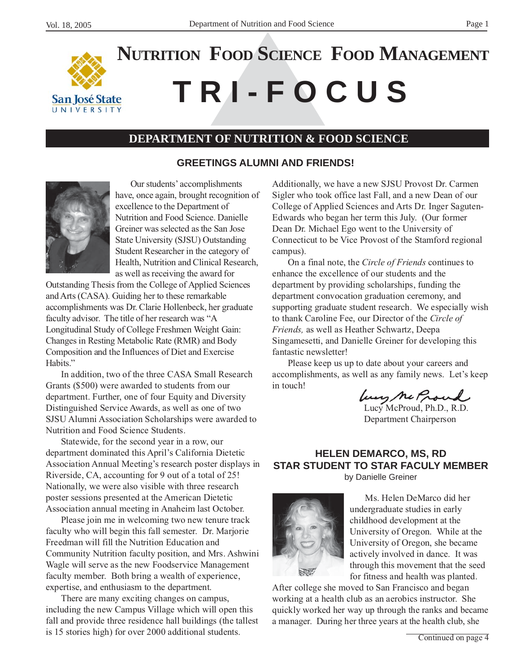

# **NUTRITION FOOD SCIENCE FOOD MANAGEMENT**

# **T R I - F O C U S**

# **DEPARTMENT OF NUTRITION & FOOD SCIENCE**

#### **GREETINGS ALUMNI AND FRIENDS!**



Our students' accomplishments have, once again, brought recognition of excellence to the Department of Nutrition and Food Science. Danielle Greiner was selected as the San Jose State University (SJSU) Outstanding Student Researcher in the category of Health, Nutrition and Clinical Research, as well as receiving the award for

Outstanding Thesis from the College of Applied Sciences and Arts (CASA). Guiding her to these remarkable accomplishments was Dr. Clarie Hollenbeck, her graduate faculty advisor. The title of her research was "A Longitudinal Study of College Freshmen Weight Gain: Changes in Resting Metabolic Rate (RMR) and Body Composition and the Influences of Diet and Exercise Habits."

In addition, two of the three CASA Small Research Grants (\$500) were awarded to students from our department. Further, one of four Equity and Diversity Distinguished Service Awards, as well as one of two SJSU Alumni Association Scholarships were awarded to Nutrition and Food Science Students.

Statewide, for the second year in a row, our department dominated this April's California Dietetic Association Annual Meeting's research poster displays in Riverside, CA, accounting for 9 out of a total of 25! Nationally, we were also visible with three research poster sessions presented at the American Dietetic Association annual meeting in Anaheim last October.

Please join me in welcoming two new tenure track faculty who will begin this fall semester. Dr. Marjorie Freedman will fill the Nutrition Education and Community Nutrition faculty position, and Mrs. Ashwini Wagle will serve as the new Foodservice Management faculty member. Both bring a wealth of experience, expertise, and enthusiasm to the department.

There are many exciting changes on campus, including the new Campus Village which will open this fall and provide three residence hall buildings (the tallest is 15 stories high) for over 2000 additional students.

Additionally, we have a new SJSU Provost Dr. Carmen Sigler who took office last Fall, and a new Dean of our College of Applied Sciences and Arts Dr. Inger Saguten-Edwards who began her term this July. (Our former Dean Dr. Michael Ego went to the University of Connecticut to be Vice Provost of the Stamford regional campus).

On a final note, the *Circle of Friends* continues to enhance the excellence of our students and the department by providing scholarships, funding the department convocation graduation ceremony, and supporting graduate student research. We especially wish to thank Caroline Fee, our Director of the *Circle of Friends,* as well as Heather Schwartz, Deepa Singamesetti, and Danielle Greiner for developing this fantastic newsletter!

Please keep us up to date about your careers and accomplishments, as well as any family news. Let's keep in touch!

Lucy Me Proul

Department Chairperson

#### **HELEN DEMARCO, MS, RD STAR STUDENT TO STAR FACULY MEMBER** by Danielle Greiner



Ms. Helen DeMarco did her undergraduate studies in early childhood development at the University of Oregon. While at the University of Oregon, she became actively involved in dance. It was through this movement that the seed for fitness and health was planted.

After college she moved to San Francisco and began working at a health club as an aerobics instructor. She quickly worked her way up through the ranks and became a manager. During her three years at the health club, she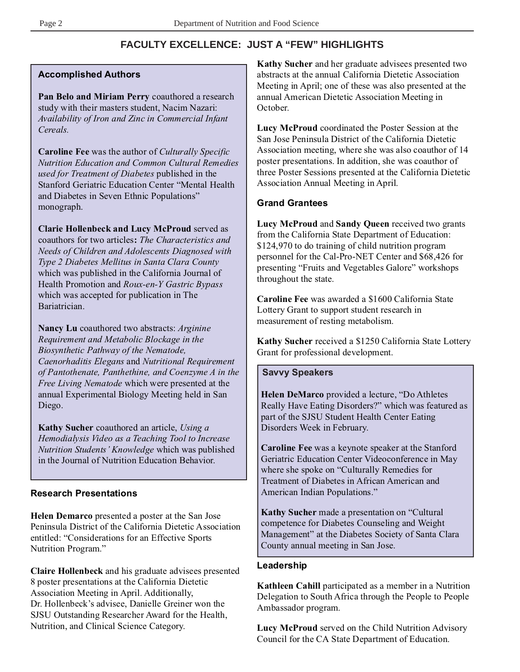# **FACULTY EXCELLENCE: JUST A "FEW" HIGHLIGHTS**

#### **Accomplished Authors**

**Pan Belo and Miriam Perry** coauthored a research study with their masters student, Nacim Nazari: *Availability of Iron and Zinc in Commercial Infant Cereals.*

**Caroline Fee** was the author of *Culturally Specific Nutrition Education and Common Cultural Remedies used for Treatment of Diabetes* published in the Stanford Geriatric Education Center "Mental Health and Diabetes in Seven Ethnic Populations" monograph.

**Clarie Hollenbeck and Lucy McProud** served as coauthors for two articles**:** *The Characteristics and Needs of Children and Adolescents Diagnosed with Type 2 Diabetes Mellitus in Santa Clara County* which was published in the California Journal of Health Promotion and *Roux-en-Y Gastric Bypass* which was accepted for publication in The Bariatrician.

**Nancy Lu** coauthored two abstracts: *Arginine Requirement and Metabolic Blockage in the Biosynthetic Pathway of the Nematode, Caenorhaditis Elegans* and *Nutritional Requirement of Pantothenate, Panthethine, and Coenzyme A in the Free Living Nematode* which were presented at the annual Experimental Biology Meeting held in San Diego.

**Kathy Sucher** coauthored an article, *Using a Hemodialysis Video as a Teaching Tool to Increase Nutrition Students' Knowledge* which was published in the Journal of Nutrition Education Behavior.

#### **Research Presentations**

**Helen Demarco** presented a poster at the San Jose Peninsula District of the California Dietetic Association entitled: "Considerations for an Effective Sports Nutrition Program."

**Claire Hollenbeck** and his graduate advisees presented 8 poster presentations at the California Dietetic Association Meeting in April. Additionally, Dr. Hollenbeck's advisee, Danielle Greiner won the SJSU Outstanding Researcher Award for the Health, Nutrition, and Clinical Science Category.

**Kathy Sucher** and her graduate advisees presented two abstracts at the annual California Dietetic Association Meeting in April; one of these was also presented at the annual American Dietetic Association Meeting in October.

**Lucy McProud** coordinated the Poster Session at the San Jose Peninsula District of the California Dietetic Association meeting, where she was also coauthor of 14 poster presentations. In addition, she was coauthor of three Poster Sessions presented at the California Dietetic Association Annual Meeting in April.

#### **Grand Grantees**

**Lucy McProud** and **Sandy Queen** received two grants from the California State Department of Education: \$124,970 to do training of child nutrition program personnel for the Cal-Pro-NET Center and \$68,426 for presenting "Fruits and Vegetables Galore" workshops throughout the state.

**Caroline Fee** was awarded a \$1600 California State Lottery Grant to support student research in measurement of resting metabolism.

**Kathy Sucher** received a \$1250 California State Lottery Grant for professional development.

#### **Savvy Speakers**

**Helen DeMarco** provided a lecture, "Do Athletes Really Have Eating Disorders?" which was featured as part of the SJSU Student Health Center Eating Disorders Week in February.

**Caroline Fee** was a keynote speaker at the Stanford Geriatric Education Center Videoconference in May where she spoke on "Culturally Remedies for Treatment of Diabetes in African American and American Indian Populations."

**Kathy Sucher** made a presentation on "Cultural competence for Diabetes Counseling and Weight Management" at the Diabetes Society of Santa Clara County annual meeting in San Jose.

#### **Leadership**

**Kathleen Cahill** participated as a member in a Nutrition Delegation to South Africa through the People to People Ambassador program.

**Lucy McProud** served on the Child Nutrition Advisory Council for the CA State Department of Education.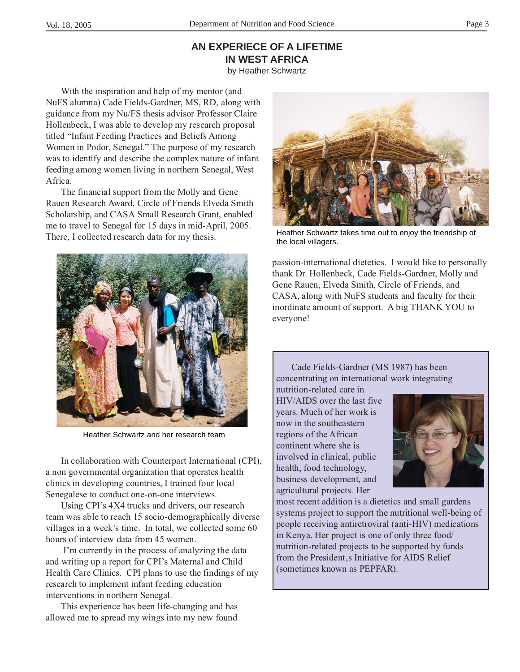# **AN EXPERIECE OF A LIFETIME IN WEST AFRICA**

by Heather Schwartz

With the inspiration and help of my mentor (and NuFS alumna) Cade Fields-Gardner, MS, RD, along with guidance from my Nu/FS thesis advisor Professor Claire Hollenbeck, I was able to develop my research proposal titled "Infant Feeding Practices and Beliefs Among Women in Podor, Senegal." The purpose of my research was to identify and describe the complex nature of infant feeding among women living in northern Senegal, West Africa.

The financial support from the Molly and Gene Rauen Research Award, Circle of Friends Elveda Smith Scholarship, and CASA Small Research Grant, enabled me to travel to Senegal for 15 days in mid-April, 2005. There, I collected research data for my thesis.



Heather Schwartz and her research team

In collaboration with Counterpart International (CPI), a non governmental organization that operates health clinics in developing countries, I trained four local Senegalese to conduct one-on-one interviews.

Using CPI's 4X4 trucks and drivers, our research team was able to reach 15 socio-demographically diverse villages in a week's time. In total, we collected some 60 hours of interview data from 45 women.

 I'm currently in the process of analyzing the data and writing up a report for CPI's Maternal and Child Health Care Clinics. CPI plans to use the findings of my research to implement infant feeding education interventions in northern Senegal.

This experience has been life-changing and has allowed me to spread my wings into my new found



Heather Schwartz takes time out to enjoy the friendship of the local villagers.

passion-international dietetics. I would like to personally thank Dr. Hollenbeck, Cade Fields-Gardner, Molly and Gene Rauen, Elveda Smith, Circle of Friends, and CASA, along with NuFS students and faculty for their inordinate amount of support. A big THANK YOU to everyone!

Cade Fields-Gardner (MS 1987) has been concentrating on international work integrating

nutrition-related care in HIV/AIDS over the last five years. Much of her work is now in the southeastern regions of the African continent where she is involved in clinical, public health, food technology, business development, and agricultural projects. Her



most recent addition is a dietetics and small gardens systems project to support the nutritional well-being of people receiving antiretroviral (anti-HIV) medications in Kenya. Her project is one of only three food/ nutrition-related projects to be supported by funds from the President, a Initiative for AIDS Relief (sometimes known as PEPFAR).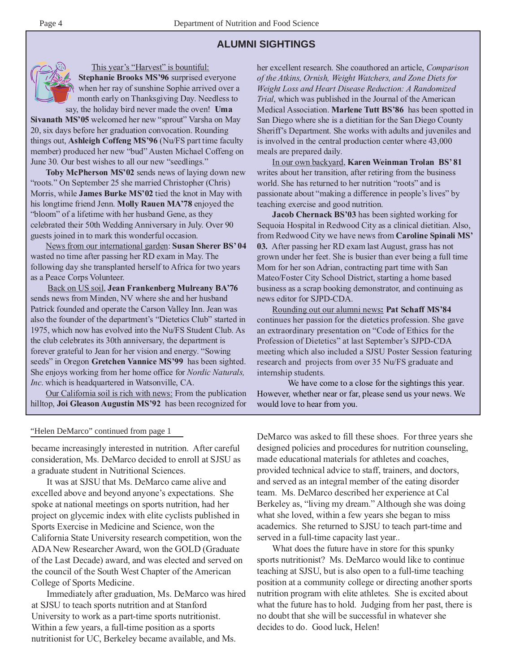#### **ALUMNI SIGHTINGS**



This year's "Harvest" is bountiful:

**Stephanie Brooks MS'96** surprised everyone when her ray of sunshine Sophie arrived over a month early on Thanksgiving Day. Needless to say, the holiday bird never made the oven! **Uma**

**Sivanath MS'05** welcomed her new "sprout" Varsha on May 20, six days before her graduation convocation. Rounding things out, **Ashleigh Coffeng MS'96** (Nu/FS part time faculty member) produced her new "bud" Austen Michael Coffeng on June 30. Our best wishes to all our new "seedlings."

**Toby McPherson MS'02** sends news of laying down new "roots." On September 25 she married Christopher (Chris) Morris, while **James Burke MS'02** tied the knot in May with his longtime friend Jenn. **Molly Rauen MA'78** enjoyed the "bloom" of a lifetime with her husband Gene, as they celebrated their 50th Wedding Anniversary in July. Over 90 guests joined in to mark this wonderful occasion.

News from our international garden: **Susan Sherer BS' 04** wasted no time after passing her RD exam in May. The following day she transplanted herself to Africa for two years as a Peace Corps Volunteer.

Back on US soil, **Jean Frankenberg Mulreany BA'76** sends news from Minden, NV where she and her husband Patrick founded and operate the Carson Valley Inn. Jean was also the founder of the department's "Dietetics Club" started in 1975, which now has evolved into the Nu/FS Student Club. As the club celebrates its 30th anniversary, the department is forever grateful to Jean for her vision and energy. "Sowing seeds" in Oregon **Gretchen Vannice MS'99** has been sighted. She enjoys working from her home office for *Nordic Naturals, Inc*. which is headquartered in Watsonville, CA.

Our California soil is rich with news: From the publication hilltop, **Joi Gleason Augustin MS'92** has been recognized for

her excellent research. She coauthored an article, *Comparison of the Atkins, Ornish, Weight Watchers, and Zone Diets for Weight Loss and Heart Disease Reduction: A Randomized Trial*, which was published in the Journal of the American Medical Association. **Marlene Tutt BS'86** has been spotted in San Diego where she is a dietitian for the San Diego County Sheriff's Department. She works with adults and juveniles and is involved in the central production center where 43,000 meals are prepared daily.

In our own backyard, **Karen Weinman Trolan BS' 81** writes about her transition, after retiring from the business world. She has returned to her nutrition "roots" and is passionate about "making a difference in people's lives" by teaching exercise and good nutrition.

**Jacob Chernack BS'03** has been sighted working for Sequoia Hospital in Redwood City as a clinical dietitian. Also, from Redwood City we have news from **Caroline Spinali MS' 03.** After passing her RD exam last August, grass has not grown under her feet. She is busier than ever being a full time Mom for her son Adrian, contracting part time with San Mateo/Foster City School District, starting a home based business as a scrap booking demonstrator, and continuing as news editor for SJPD-CDA.

Rounding out our alumni news**: Pat Schaff MS'84** continues her passion for the dietetics profession. She gave an extraordinary presentation on "Code of Ethics for the Profession of Dietetics" at last September's SJPD-CDA meeting which also included a SJSU Poster Session featuring research and projects from over 35 Nu/FS graduate and internship students.

We have come to a close for the sightings this year. However, whether near or far, please send us your news. We would love to hear from you.

#### "Helen DeMarco" continued from page 1

became increasingly interested in nutrition. After careful consideration, Ms. DeMarco decided to enroll at SJSU as a graduate student in Nutritional Sciences.

It was at SJSU that Ms. DeMarco came alive and excelled above and beyond anyone's expectations. She spoke at national meetings on sports nutrition, had her project on glycemic index with elite cyclists published in Sports Exercise in Medicine and Science, won the California State University research competition, won the ADA New Researcher Award, won the GOLD (Graduate of the Last Decade) award, and was elected and served on the council of the South West Chapter of the American College of Sports Medicine.

Immediately after graduation, Ms. DeMarco was hired at SJSU to teach sports nutrition and at Stanford University to work as a part-time sports nutritionist. Within a few years, a full-time position as a sports nutritionist for UC, Berkeley became available, and Ms.

DeMarco was asked to fill these shoes. For three years she designed policies and procedures for nutrition counseling, made educational materials for athletes and coaches, provided technical advice to staff, trainers, and doctors, and served as an integral member of the eating disorder team. Ms. DeMarco described her experience at Cal Berkeley as, "living my dream." Although she was doing what she loved, within a few years she began to miss academics. She returned to SJSU to teach part-time and served in a full-time capacity last year..

What does the future have in store for this spunky sports nutritionist? Ms. DeMarco would like to continue teaching at SJSU, but is also open to a full-time teaching position at a community college or directing another sports nutrition program with elite athletes. She is excited about what the future has to hold. Judging from her past, there is no doubt that she will be successful in whatever she decides to do. Good luck, Helen!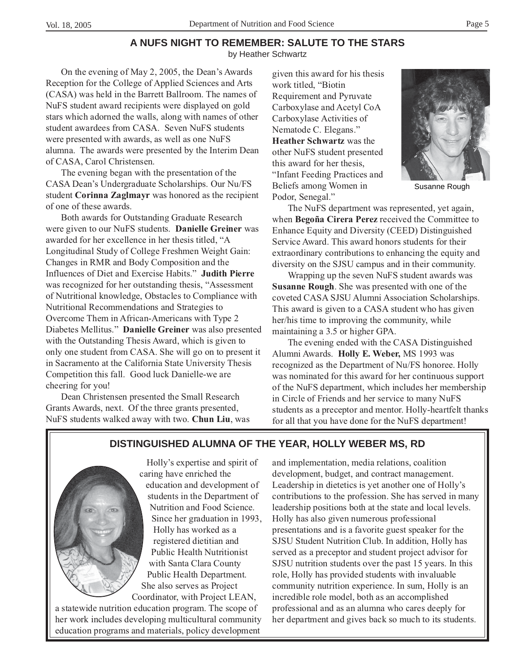# **A NUFS NIGHT TO REMEMBER: SALUTE TO THE STARS**

by Heather Schwartz

On the evening of May 2, 2005, the Dean's Awards Reception for the College of Applied Sciences and Arts (CASA) was held in the Barrett Ballroom. The names of NuFS student award recipients were displayed on gold stars which adorned the walls, along with names of other student awardees from CASA. Seven NuFS students were presented with awards, as well as one NuFS alumna. The awards were presented by the Interim Dean of CASA, Carol Christensen.

The evening began with the presentation of the CASA Dean's Undergraduate Scholarships. Our Nu/FS student **Corinna Zaglmayr** was honored as the recipient of one of these awards.

Both awards for Outstanding Graduate Research were given to our NuFS students. **Danielle Greiner** was awarded for her excellence in her thesis titled, "A Longitudinal Study of College Freshmen Weight Gain: Changes in RMR and Body Composition and the Influences of Diet and Exercise Habits." **Judith Pierre** was recognized for her outstanding thesis, "Assessment of Nutritional knowledge, Obstacles to Compliance with Nutritional Recommendations and Strategies to Overcome Them in African-Americans with Type 2 Diabetes Mellitus." **Danielle Greiner** was also presented with the Outstanding Thesis Award, which is given to only one student from CASA. She will go on to present it in Sacramento at the California State University Thesis Competition this fall. Good luck Danielle-we are cheering for you!

Dean Christensen presented the Small Research Grants Awards, next. Of the three grants presented, NuFS students walked away with two. **Chun Liu**, was given this award for his thesis work titled, "Biotin Requirement and Pyruvate Carboxylase and Acetyl CoA Carboxylase Activities of Nematode C. Elegans." **Heather Schwartz** was the other NuFS student presented this award for her thesis, "Infant Feeding Practices and Beliefs among Women in Podor, Senegal."



Susanne Rough

The NuFS department was represented, yet again, when **Begoña Cirera Perez** received the Committee to Enhance Equity and Diversity (CEED) Distinguished Service Award. This award honors students for their extraordinary contributions to enhancing the equity and diversity on the SJSU campus and in their community.

Wrapping up the seven NuFS student awards was **Susanne Rough**. She was presented with one of the coveted CASA SJSU Alumni Association Scholarships. This award is given to a CASA student who has given her/his time to improving the community, while maintaining a 3.5 or higher GPA.

The evening ended with the CASA Distinguished Alumni Awards. **Holly E. Weber,** MS 1993 was recognized as the Department of Nu/FS honoree. Holly was nominated for this award for her continuous support of the NuFS department, which includes her membership in Circle of Friends and her service to many NuFS students as a preceptor and mentor. Holly-heartfelt thanks for all that you have done for the NuFS department!

## **DISTINGUISHED ALUMNA OF THE YEAR, HOLLY WEBER MS, RD**



Holly's expertise and spirit of caring have enriched the education and development of students in the Department of Nutrition and Food Science. Since her graduation in 1993, Holly has worked as a registered dietitian and Public Health Nutritionist with Santa Clara County Public Health Department. She also serves as Project Coordinator, with Project LEAN,

a statewide nutrition education program. The scope of her work includes developing multicultural community education programs and materials, policy development

and implementation, media relations, coalition development, budget, and contract management. Leadership in dietetics is yet another one of Holly's contributions to the profession. She has served in many leadership positions both at the state and local levels. Holly has also given numerous professional presentations and is a favorite guest speaker for the SJSU Student Nutrition Club. In addition, Holly has served as a preceptor and student project advisor for SJSU nutrition students over the past 15 years. In this role, Holly has provided students with invaluable community nutrition experience. In sum, Holly is an incredible role model, both as an accomplished professional and as an alumna who cares deeply for her department and gives back so much to its students.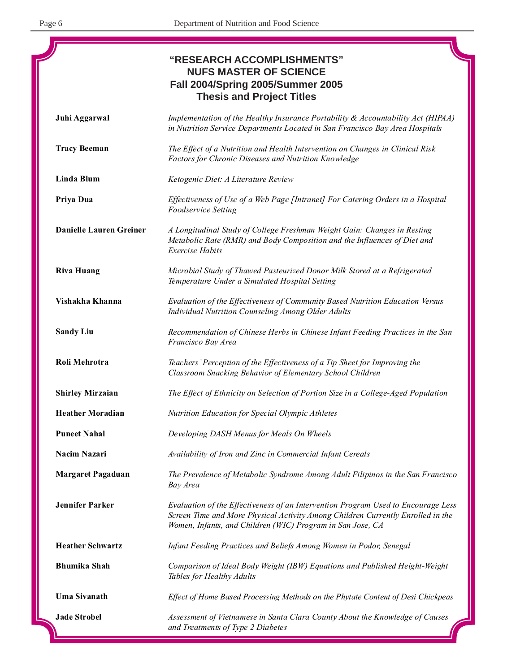|                                | "RESEARCH ACCOMPLISHMENTS"<br><b>NUFS MASTER OF SCIENCE</b><br><b>Fall 2004/Spring 2005/Summer 2005</b><br><b>Thesis and Project Titles</b>                                                                                        |
|--------------------------------|------------------------------------------------------------------------------------------------------------------------------------------------------------------------------------------------------------------------------------|
| Juhi Aggarwal                  | Implementation of the Healthy Insurance Portability & Accountability Act (HIPAA)<br>in Nutrition Service Departments Located in San Francisco Bay Area Hospitals                                                                   |
| <b>Tracy Beeman</b>            | The Effect of a Nutrition and Health Intervention on Changes in Clinical Risk<br>Factors for Chronic Diseases and Nutrition Knowledge                                                                                              |
| Linda Blum                     | Ketogenic Diet: A Literature Review                                                                                                                                                                                                |
| Priya Dua                      | Effectiveness of Use of a Web Page [Intranet] For Catering Orders in a Hospital<br><b>Foodservice Setting</b>                                                                                                                      |
| <b>Danielle Lauren Greiner</b> | A Longitudinal Study of College Freshman Weight Gain: Changes in Resting<br>Metabolic Rate (RMR) and Body Composition and the Influences of Diet and<br><b>Exercise Habits</b>                                                     |
| <b>Riva Huang</b>              | Microbial Study of Thawed Pasteurized Donor Milk Stored at a Refrigerated<br>Temperature Under a Simulated Hospital Setting                                                                                                        |
| Vishakha Khanna                | Evaluation of the Effectiveness of Community Based Nutrition Education Versus<br>Individual Nutrition Counseling Among Older Adults                                                                                                |
| <b>Sandy Liu</b>               | Recommendation of Chinese Herbs in Chinese Infant Feeding Practices in the San<br>Francisco Bay Area                                                                                                                               |
| Roli Mehrotra                  | Teachers' Perception of the Effectiveness of a Tip Sheet for Improving the<br>Classroom Snacking Behavior of Elementary School Children                                                                                            |
| <b>Shirley Mirzaian</b>        | The Effect of Ethnicity on Selection of Portion Size in a College-Aged Population                                                                                                                                                  |
| <b>Heather Moradian</b>        | Nutrition Education for Special Olympic Athletes                                                                                                                                                                                   |
| <b>Puneet Nahal</b>            | Developing DASH Menus for Meals On Wheels                                                                                                                                                                                          |
| Nacim Nazari                   | Availability of Iron and Zinc in Commercial Infant Cereals                                                                                                                                                                         |
| <b>Margaret Pagaduan</b>       | The Prevalence of Metabolic Syndrome Among Adult Filipinos in the San Francisco<br>Bay Area                                                                                                                                        |
| <b>Jennifer Parker</b>         | Evaluation of the Effectiveness of an Intervention Program Used to Encourage Less<br>Screen Time and More Physical Activity Among Children Currently Enrolled in the<br>Women, Infants, and Children (WIC) Program in San Jose, CA |
| <b>Heather Schwartz</b>        | Infant Feeding Practices and Beliefs Among Women in Podor, Senegal                                                                                                                                                                 |
| <b>Bhumika Shah</b>            | Comparison of Ideal Body Weight (IBW) Equations and Published Height-Weight<br>Tables for Healthy Adults                                                                                                                           |
| <b>Uma Sivanath</b>            | Effect of Home Based Processing Methods on the Phytate Content of Desi Chickpeas                                                                                                                                                   |
| <b>Jade Strobel</b>            | Assessment of Vietnamese in Santa Clara County About the Knowledge of Causes<br>and Treatments of Type 2 Diabetes                                                                                                                  |

-1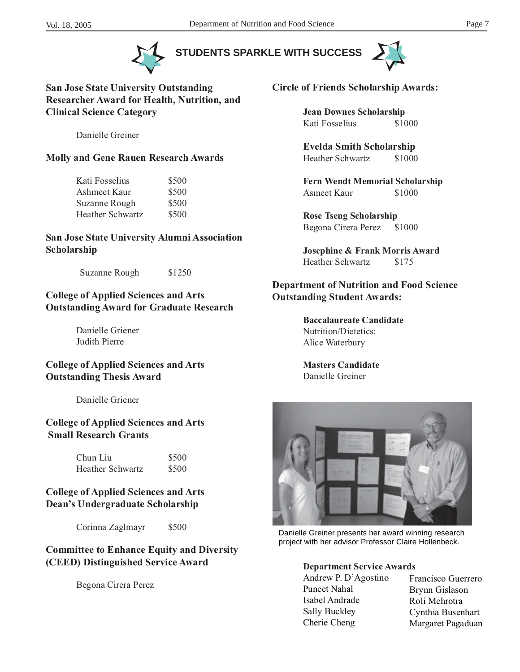**STUDENTS SPARKLE WITH SUCCESS**





**San Jose State University Outstanding Researcher Award for Health, Nutrition, and Clinical Science Category**

Danielle Greiner

#### **Molly and Gene Rauen Research Awards**

| Kati Fosselius          | \$500 |
|-------------------------|-------|
| Ashmeet Kaur            | \$500 |
| Suzanne Rough           | \$500 |
| <b>Heather Schwartz</b> | \$500 |

#### **San Jose State University Alumni Association Scholarship**

Suzanne Rough \$1250

#### **College of Applied Sciences and Arts Outstanding Award for Graduate Research**

Danielle Griener Judith Pierre

#### **College of Applied Sciences and Arts Outstanding Thesis Award**

Danielle Griener

#### **College of Applied Sciences and Arts Small Research Grants**

| Chun Liu         | \$500 |
|------------------|-------|
| Heather Schwartz | \$500 |

#### **College of Applied Sciences and Arts Dean's Undergraduate Scholarship**

Corinna Zaglmayr \$500

#### **Committee to Enhance Equity and Diversity (CEED) Distinguished Service Award**

Begona Cirera Perez



**Circle of Friends Scholarship Awards:**

**Jean Downes Scholarship** Kati Fosselius \$1000

**Evelda Smith Scholarship** Heather Schwartz \$1000

**Fern Wendt Memorial Scholarship** Asmeet Kaur \$1000

**Rose Tseng Scholarship** Begona Cirera Perez \$1000

**Josephine & Frank Morris Award** Heather Schwartz \$175

#### **Department of Nutrition and Food Science Outstanding Student Awards:**

**Baccalaureate Candidate** Nutrition/Dietetics: Alice Waterbury

**Masters Candidate** Danielle Greiner



Danielle Greiner presents her award winning research project with her advisor Professor Claire Hollenbeck.

#### **Department Service Awards**

Andrew P. D'Agostino Puneet Nahal Isabel Andrade Sally Buckley Cherie Cheng

Francisco Guerrero Brynn Gislason Roli Mehrotra Cynthia Busenhart Margaret Pagaduan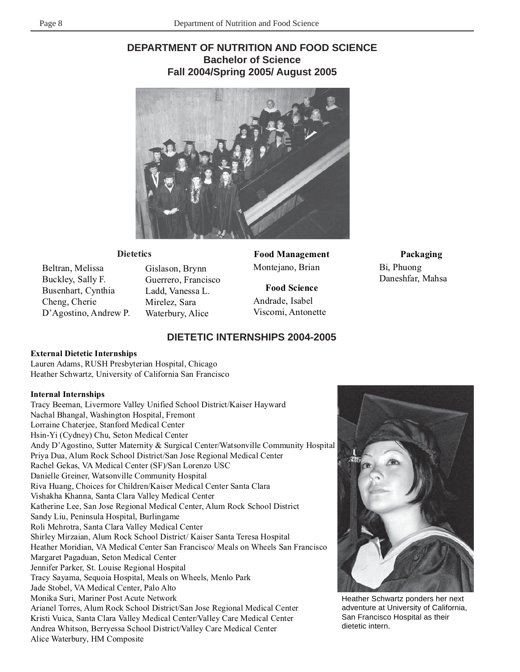# **DEPARTMENT OF NUTRITION AND FOOD SCIENCE Bachelor of Science Fall 2004/Spring 2005/ August 2005**



#### **Dietetics**

Beltran, Melissa Buckley, Sally F. Busenhart, Cynthia Cheng, Cherie D'Agostino, Andrew P. Gislason, Brynn Guerrero, Francisco Ladd, Vanessa L. Mirelez, Sara Waterbury, Alice

**Food Management** Montejano, Brian

**Food Science** Andrade, Isabel Viscomi, Antonette

## **Packaging**

Bi, Phuong Daneshfar, Mahsa

#### **DIETETIC INTERNSHIPS 2004-2005**

#### **External Dietetic Internships**

Lauren Adams, RUSH Presbyterian Hospital, Chicago Heather Schwartz, University of California San Francisco

#### **Internal Internships**

Tracy Beeman, Livermore Valley Unified School District/Kaiser Hayward Nachal Bhangal, Washington Hospital, Fremont Lorraine Chaterjee, Stanford Medical Center Hsin-Yi (Cydney) Chu, Seton Medical Center Andy D'Agostino, Sutter Maternity & Surgical Center/Watsonville Community Hospital Priya Dua, Alum Rock School District/San Jose Regional Medical Center Rachel Gekas, VA Medical Center (SF)/San Lorenzo USC Danielle Greiner, Watsonville Community Hospital Riva Huang, Choices for Children/Kaiser Medical Center Santa Clara Vishakha Khanna, Santa Clara Valley Medical Center Katherine Lee, San Jose Regional Medical Center, Alum Rock School District Sandy Liu, Peninsula Hospital, Burlingame Roli Mehrotra, Santa Clara Valley Medical Center Shirley Mirzaian, Alum Rock School District/ Kaiser Santa Teresa Hospital Heather Moridian, VA Medical Center San Francisco/ Meals on Wheels San Francisco Margaret Pagaduan, Seton Medical Center Jennifer Parker, St. Louise Regional Hospital Tracy Sayama, Sequoia Hospital, Meals on Wheels, Menlo Park Jade Stobel, VA Medical Center, Palo Alto Monika Suri, Mariner Post Acute Network Arianel Torres, Alum Rock School District/San Jose Regional Medical Center Kristi Vuica, Santa Clara Valley Medical Center/Valley Care Medical Center Andrea Whitson, Berryessa School District/Valley Care Medical Center Alice Waterbury, HM Composite



Heather Schwartz ponders her next adventure at University of California, San Francisco Hospital as their dietetic intern.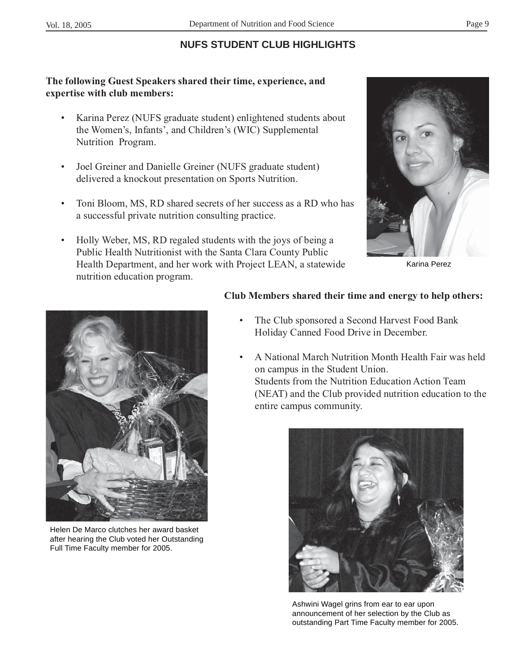# **NUFS STUDENT CLUB HIGHLIGHTS**

# **The following Guest Speakers shared their time, experience, and expertise with club members:**

- Karina Perez (NUFS graduate student) enlightened students about the Women's, Infants', and Children's (WIC) Supplemental Nutrition Program.
- Joel Greiner and Danielle Greiner (NUFS graduate student) delivered a knockout presentation on Sports Nutrition.
- Toni Bloom, MS, RD shared secrets of her success as a RD who has a successful private nutrition consulting practice.
- Holly Weber, MS, RD regaled students with the joys of being a Public Health Nutritionist with the Santa Clara County Public Health Department, and her work with Project LEAN, a statewide nutrition education program.



Karina Perez



Helen De Marco clutches her award basket after hearing the Club voted her Outstanding Full Time Faculty member for 2005.

### **Club Members shared their time and energy to help others:**

- The Club sponsored a Second Harvest Food Bank Holiday Canned Food Drive in December.
- A National March Nutrition Month Health Fair was held on campus in the Student Union. Students from the Nutrition Education Action Team (NEAT) and the Club provided nutrition education to the entire campus community.



Ashwini Wagel grins from ear to ear upon announcement of her selection by the Club as outstanding Part Time Faculty member for 2005.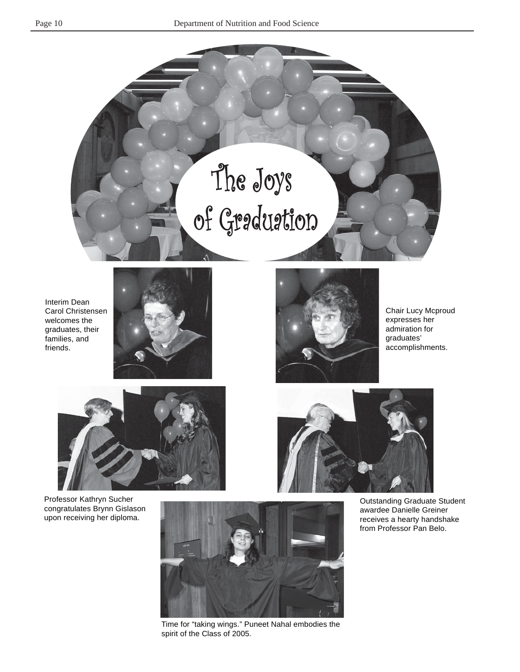

Interim Dean Carol Christensen welcomes the graduates, their families, and friends.





Chair Lucy Mcproud expresses her admiration for graduates' accomplishments.



Professor Kathryn Sucher congratulates Brynn Gislason upon receiving her diploma.



Time for "taking wings." Puneet Nahal embodies the spirit of the Class of 2005.



Outstanding Graduate Student awardee Danielle Greiner receives a hearty handshake from Professor Pan Belo.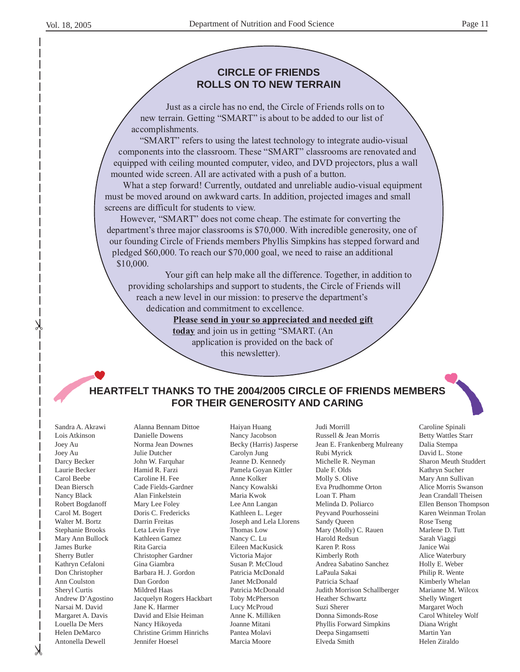#### **CIRCLE OF FRIENDS ROLLS ON TO NEW TERRAIN**

Just as a circle has no end, the Circle of Friends rolls on to new terrain. Getting "SMART" is about to be added to our list of accomplishments.

"SMART" refers to using the latest technology to integrate audio-visual components into the classroom. These "SMART" classrooms are renovated and equipped with ceiling mounted computer, video, and DVD projectors, plus a wall mounted wide screen. All are activated with a push of a button.

What a step forward! Currently, outdated and unreliable audio-visual equipment must be moved around on awkward carts. In addition, projected images and small screens are difficult for students to view.

However, "SMART" does not come cheap. The estimate for converting the department's three major classrooms is \$70,000. With incredible generosity, one of our founding Circle of Friends members Phyllis Simpkins has stepped forward and pledged \$60,000. To reach our \$70,000 goal, we need to raise an additional \$10,000.

Your gift can help make all the difference. Together, in addition to providing scholarships and support to students, the Circle of Friends will reach a new level in our mission: to preserve the department's dedication and commitment to excellence.

**Please send in your so appreciated and needed gift**

**today** and join us in getting "SMART. (An application is provided on the back of this newsletter).

### **HEARTFELT THANKS TO THE 2004/2005 CIRCLE OF FRIENDS MEMBERS FOR THEIR GENEROSITY AND CARING**

Sandra A. Akrawi Lois Atkinson Joey Au Joey Au Darcy Becker Laurie Becker Carol Beebe Dean Biersch Nancy Black Robert Bogdanoff Carol M. Bogert Walter M. Bortz Stephanie Brooks Mary Ann Bullock James Burke Sherry Butler Kathryn Cefaloni Don Christopher Ann Coulston Sheryl Curtis Andrew D'Agostino Narsai M. David Margaret A. Davis Louella De Mers Helen DeMarco Antonella Dewell

Alanna Bennam Dittoe Danielle Dowens Norma Jean Downes Julie Dutcher John W. Farquhar Hamid R. Farzi Caroline H. Fee Cade Fields-Gardner Alan Finkelstein Mary Lee Foley Doris C. Fredericks Darrin Freitas Leta Levin Frye Kathleen Gamez Rita Garcia Christopher Gardner Gina Giambra Barbara H. J. Gordon Dan Gordon Mildred Haas Jacquelyn Rogers Hackbart Jane K. Harmer David and Elsie Heiman Nancy Hikoyeda Christine Grimm Hinrichs Jennifer Hoesel

Haiyan Huang Nancy Jacobson Becky (Harris) Jasperse Carolyn Jung Jeanne D. Kennedy Pamela Goyan Kittler Anne Kolker Nancy Kowalski Maria Kwok Lee Ann Langan Kathleen L. Leger Joseph and Lela Llorens Thomas Low Nancy C. Lu Eileen MacKusick Victoria Major Susan P. McCloud Patricia McDonald Janet McDonald Patricia McDonald Toby McPherson Lucy McProud Anne K. Milliken Joanne Mitani Pantea Molavi Marcia Moore

Judi Morrill Russell & Jean Morris Jean E. Frankenberg Mulreany Rubi Myrick Michelle R. Neyman Dale F. Olds Molly S. Olive Eva Prudhomme Orton Loan T. Pham Melinda D. Poliarco Peyvand Pourhosseini Sandy Queen Mary (Molly) C. Rauen Harold Redsun Karen P. Ross Kimberly Roth Andrea Sabatino Sanchez LaPaula Sakai Patricia Schaaf Judith Morrison Schallberger Heather Schwartz Suzi Sherer Donna Simonds-Rose Phyllis Forward Simpkins Deepa Singamsetti Elveda Smith

Caroline Spinali Betty Wattles Starr Dalia Stempa David L. Stone Sharon Meuth Studdert Kathryn Sucher Mary Ann Sullivan Alice Morris Swanson Jean Crandall Theisen Ellen Benson Thompson Karen Weinman Trolan Rose Tseng Marlene D. Tutt Sarah Viaggi Janice Wai Alice Waterbury Holly E. Weber Philip R. Wente Kimberly Whelan Marianne M. Wilcox Shelly Wingert Margaret Woch Carol Whiteley Wolf Diana Wright Martin Yan Helen Ziraldo

 $\lambda$ 

 $\lambda$